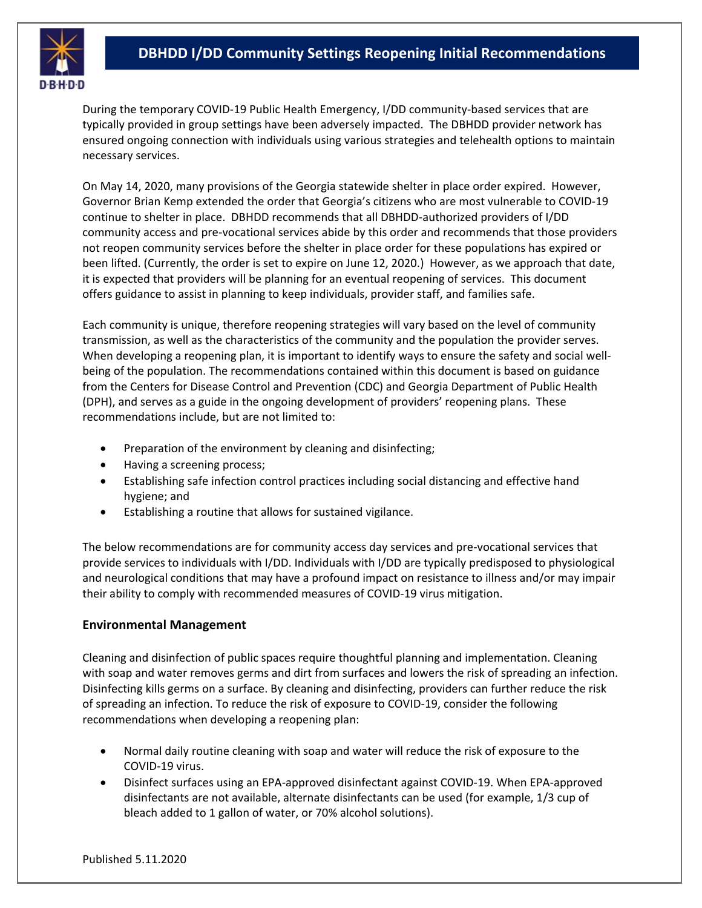

During the temporary COVID-19 Public Health Emergency, I/DD community-based services that are typically provided in group settings have been adversely impacted. The DBHDD provider network has ensured ongoing connection with individuals using various strategies and telehealth options to maintain necessary services.

On May 14, 2020, many provisions of the Georgia statewide shelter in place order expired. However, Governor Brian Kemp extended the order that Georgia's citizens who are most vulnerable to COVID-19 continue to shelter in place. DBHDD recommends that all DBHDD-authorized providers of I/DD community access and pre-vocational services abide by this order and recommends that those providers not reopen community services before the shelter in place order for these populations has expired or been lifted. (Currently, the order is set to expire on June 12, 2020.) However, as we approach that date, it is expected that providers will be planning for an eventual reopening of services. This document offers guidance to assist in planning to keep individuals, provider staff, and families safe.

Each community is unique, therefore reopening strategies will vary based on the level of community transmission, as well as the characteristics of the community and the population the provider serves. When developing a reopening plan, it is important to identify ways to ensure the safety and social wellbeing of the population. The recommendations contained within this document is based on guidance from the Centers for Disease Control and Prevention (CDC) and Georgia Department of Public Health (DPH), and serves as a guide in the ongoing development of providers' reopening plans. These recommendations include, but are not limited to:

- Preparation of the environment by cleaning and disinfecting;
- Having a screening process;
- Establishing safe infection control practices including social distancing and effective hand hygiene; and
- Establishing a routine that allows for sustained vigilance.

The below recommendations are for community access day services and pre-vocational services that provide services to individuals with I/DD. Individuals with I/DD are typically predisposed to physiological and neurological conditions that may have a profound impact on resistance to illness and/or may impair their ability to comply with recommended measures of COVID-19 virus mitigation.

### **Environmental Management**

Cleaning and disinfection of public spaces require thoughtful planning and implementation. Cleaning with soap and water removes germs and dirt from surfaces and lowers the risk of spreading an infection. Disinfecting kills germs on a surface. By cleaning and disinfecting, providers can further reduce the risk of spreading an infection. To reduce the risk of exposure to COVID-19, consider the following recommendations when developing a reopening plan:

- Normal daily routine cleaning with soap and water will reduce the risk of exposure to the COVID-19 virus.
- Disinfect surfaces using an EPA-approved disinfectant against COVID-19. When EPA-approved disinfectants are not available, alternate disinfectants can be used (for example, 1/3 cup of bleach added to 1 gallon of water, or 70% alcohol solutions).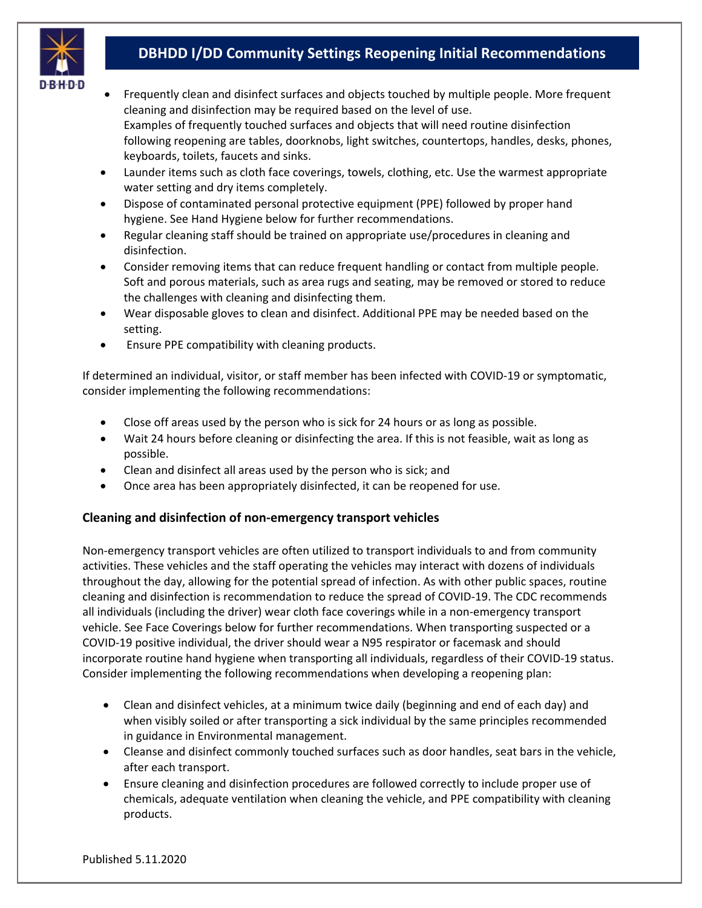

- Frequently clean and disinfect surfaces and objects touched by multiple people. More frequent cleaning and disinfection may be required based on the level of use. Examples of frequently touched surfaces and objects that will need routine disinfection following reopening are tables, doorknobs, light switches, countertops, handles, desks, phones, keyboards, toilets, faucets and sinks.
- Launder items such as cloth face coverings, towels, clothing, etc. Use the warmest appropriate water setting and dry items completely.
- Dispose of contaminated personal protective equipment (PPE) followed by proper hand hygiene. See Hand Hygiene below for further recommendations.
- Regular cleaning staff should be trained on appropriate use/procedures in cleaning and disinfection.
- Consider removing items that can reduce frequent handling or contact from multiple people. Soft and porous materials, such as area rugs and seating, may be removed or stored to reduce the challenges with cleaning and disinfecting them.
- Wear disposable gloves to clean and disinfect. Additional PPE may be needed based on the setting.
- Ensure PPE compatibility with cleaning products.

If determined an individual, visitor, or staff member has been infected with COVID-19 or symptomatic, consider implementing the following recommendations:

- Close off areas used by the person who is sick for 24 hours or as long as possible.
- Wait 24 hours before cleaning or disinfecting the area. If this is not feasible, wait as long as possible.
- Clean and disinfect all areas used by the person who is sick; and
- Once area has been appropriately disinfected, it can be reopened for use.

## **Cleaning and disinfection of non-emergency transport vehicles**

Non-emergency transport vehicles are often utilized to transport individuals to and from community activities. These vehicles and the staff operating the vehicles may interact with dozens of individuals throughout the day, allowing for the potential spread of infection. As with other public spaces, routine cleaning and disinfection is recommendation to reduce the spread of COVID-19. The CDC recommends all individuals (including the driver) wear cloth face coverings while in a non-emergency transport vehicle. See Face Coverings below for further recommendations. When transporting suspected or a COVID-19 positive individual, the driver should wear a N95 respirator or facemask and should incorporate routine hand hygiene when transporting all individuals, regardless of their COVID-19 status. Consider implementing the following recommendations when developing a reopening plan:

- Clean and disinfect vehicles, at a minimum twice daily (beginning and end of each day) and when visibly soiled or after transporting a sick individual by the same principles recommended in guidance in Environmental management.
- Cleanse and disinfect commonly touched surfaces such as door handles, seat bars in the vehicle, after each transport.
- Ensure cleaning and disinfection procedures are followed correctly to include proper use of chemicals, adequate ventilation when cleaning the vehicle, and PPE compatibility with cleaning products.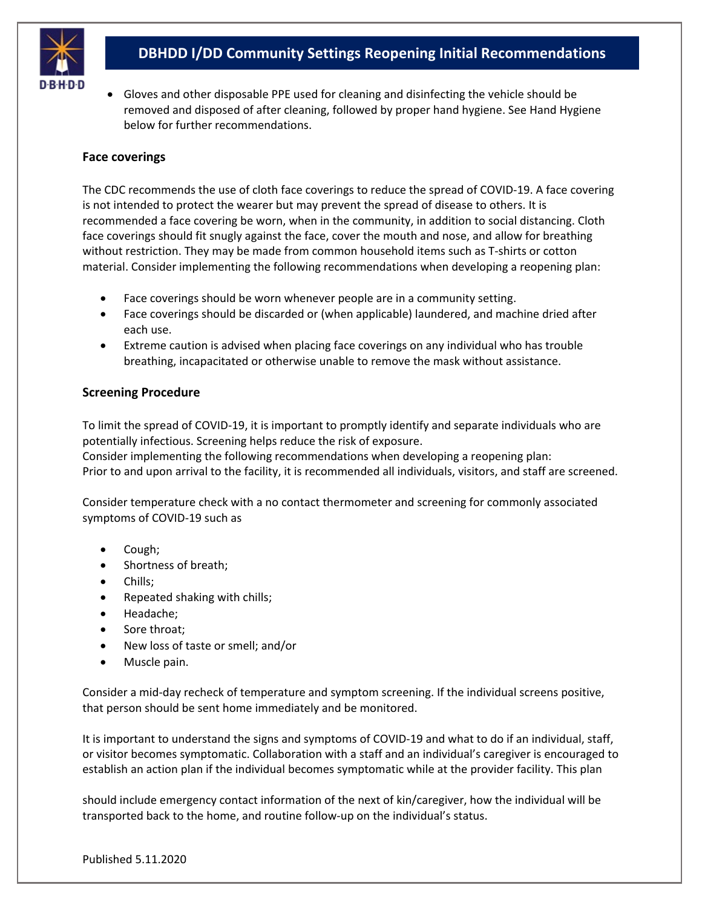

• Gloves and other disposable PPE used for cleaning and disinfecting the vehicle should be removed and disposed of after cleaning, followed by proper hand hygiene. See Hand Hygiene below for further recommendations.

## **Face coverings**

The CDC recommends the use of cloth face coverings to reduce the spread of COVID-19. A face covering is not intended to protect the wearer but may prevent the spread of disease to others. It is recommended a face covering be worn, when in the community, in addition to social distancing. Cloth face coverings should fit snugly against the face, cover the mouth and nose, and allow for breathing without restriction. They may be made from common household items such as T-shirts or cotton material. Consider implementing the following recommendations when developing a reopening plan:

- Face coverings should be worn whenever people are in a community setting.
- Face coverings should be discarded or (when applicable) laundered, and machine dried after each use.
- Extreme caution is advised when placing face coverings on any individual who has trouble breathing, incapacitated or otherwise unable to remove the mask without assistance.

## **Screening Procedure**

To limit the spread of COVID-19, it is important to promptly identify and separate individuals who are potentially infectious. Screening helps reduce the risk of exposure.

Consider implementing the following recommendations when developing a reopening plan: Prior to and upon arrival to the facility, it is recommended all individuals, visitors, and staff are screened.

Consider temperature check with a no contact thermometer and screening for commonly associated symptoms of COVID-19 such as

- Cough;
- Shortness of breath;
- Chills;
- Repeated shaking with chills;
- Headache;
- Sore throat:
- New loss of taste or smell; and/or
- Muscle pain.

Consider a mid-day recheck of temperature and symptom screening. If the individual screens positive, that person should be sent home immediately and be monitored.

It is important to understand the signs and symptoms of COVID-19 and what to do if an individual, staff, or visitor becomes symptomatic. Collaboration with a staff and an individual's caregiver is encouraged to establish an action plan if the individual becomes symptomatic while at the provider facility. This plan

should include emergency contact information of the next of kin/caregiver, how the individual will be transported back to the home, and routine follow-up on the individual's status.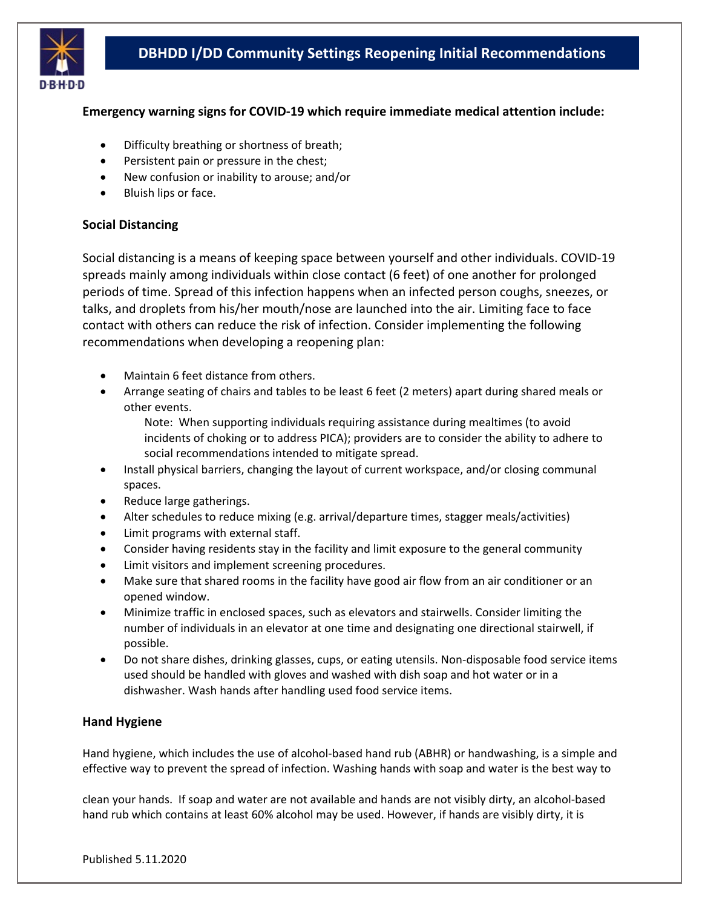

## **Emergency warning signs for COVID-19 which require immediate medical attention include:**

- Difficulty breathing or shortness of breath;
- Persistent pain or pressure in the chest;
- New confusion or inability to arouse; and/or
- Bluish lips or face.

### **Social Distancing**

Social distancing is a means of keeping space between yourself and other individuals. COVID-19 spreads mainly among individuals within close contact (6 feet) of one another for prolonged periods of time. Spread of this infection happens when an infected person coughs, sneezes, or talks, and droplets from his/her mouth/nose are launched into the air. Limiting face to face contact with others can reduce the risk of infection. Consider implementing the following recommendations when developing a reopening plan:

- Maintain 6 feet distance from others.
- Arrange seating of chairs and tables to be least 6 feet (2 meters) apart during shared meals or other events.

Note: When supporting individuals requiring assistance during mealtimes (to avoid incidents of choking or to address PICA); providers are to consider the ability to adhere to social recommendations intended to mitigate spread.

- Install physical barriers, changing the layout of current workspace, and/or closing communal spaces.
- Reduce large gatherings.
- Alter schedules to reduce mixing (e.g. arrival/departure times, stagger meals/activities)
- Limit programs with external staff.
- Consider having residents stay in the facility and limit exposure to the general community
- Limit visitors and implement screening procedures.
- Make sure that shared rooms in the facility have good air flow from an air conditioner or an opened window.
- Minimize traffic in enclosed spaces, such as elevators and stairwells. Consider limiting the number of individuals in an elevator at one time and designating one directional stairwell, if possible.
- Do not share dishes, drinking glasses, cups, or eating utensils. Non-disposable food service items used should be handled with gloves and washed with dish soap and hot water or in a dishwasher. Wash hands after handling used food service items.

### **Hand Hygiene**

Hand hygiene, which includes the use of alcohol-based hand rub (ABHR) or handwashing, is a simple and effective way to prevent the spread of infection. Washing hands with soap and water is the best way to

clean your hands. If soap and water are not available and hands are not visibly dirty, an alcohol-based hand rub which contains at least 60% alcohol may be used. However, if hands are visibly dirty, it is